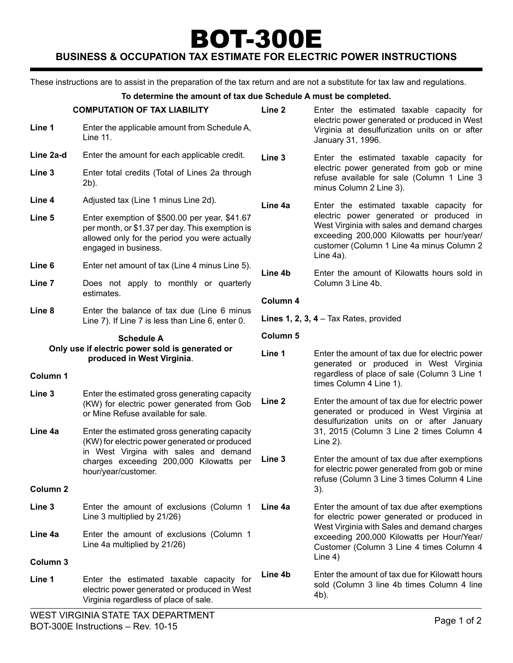# BOT-300E **Business & Occupation Tax Estimate for Electric Power Instructions**

These instructions are to assist in the preparation of the tax return and are not a substitute for tax law and regulations.

#### **To determine the amount of tax due Schedule A must be completed.**

|                                                                      | <b>COMPUTATION OF TAX LIABILITY</b>                                                                                                                                                                       | Line <sub>2</sub>                                                                                                            | Enter the estimated taxable capacity for                                                                                                                                                            |  |
|----------------------------------------------------------------------|-----------------------------------------------------------------------------------------------------------------------------------------------------------------------------------------------------------|------------------------------------------------------------------------------------------------------------------------------|-----------------------------------------------------------------------------------------------------------------------------------------------------------------------------------------------------|--|
| Line 1                                                               | Enter the applicable amount from Schedule A,<br>Line 11.                                                                                                                                                  |                                                                                                                              | electric power generated or produced in West<br>Virginia at desulfurization units on or after<br>January 31, 1996.                                                                                  |  |
| Line 2a-d                                                            | Enter the amount for each applicable credit.                                                                                                                                                              | Line 3<br>electric power generated from gob or mine<br>refuse available for sale (Column 1 Line 3<br>minus Column 2 Line 3). | Enter the estimated taxable capacity for                                                                                                                                                            |  |
| Line 3                                                               | Enter total credits (Total of Lines 2a through<br>2b).                                                                                                                                                    |                                                                                                                              |                                                                                                                                                                                                     |  |
| Line 4                                                               | Adjusted tax (Line 1 minus Line 2d).                                                                                                                                                                      | Line 4a                                                                                                                      | Enter the estimated taxable capacity for                                                                                                                                                            |  |
| Line 5                                                               | Enter exemption of \$500.00 per year, \$41.67<br>per month, or \$1.37 per day. This exemption is<br>allowed only for the period you were actually<br>engaged in business.                                 |                                                                                                                              | electric power generated or produced in<br>West Virginia with sales and demand charges<br>exceeding 200,000 Kilowatts per hour/year/<br>customer (Column 1 Line 4a minus Column 2<br>Line 4a).      |  |
| Line 6                                                               | Enter net amount of tax (Line 4 minus Line 5).                                                                                                                                                            | Line 4b                                                                                                                      | Enter the amount of Kilowatts hours sold in<br>Column 3 Line 4b.                                                                                                                                    |  |
| Line 7                                                               | Does not apply to monthly or quarterly<br>estimates.                                                                                                                                                      | Column 4                                                                                                                     |                                                                                                                                                                                                     |  |
| Line 8                                                               | Enter the balance of tax due (Line 6 minus                                                                                                                                                                |                                                                                                                              |                                                                                                                                                                                                     |  |
|                                                                      | Line 7). If Line 7 is less than Line 6, enter 0.                                                                                                                                                          |                                                                                                                              | Lines 1, 2, 3, $4 -$ Tax Rates, provided                                                                                                                                                            |  |
| <b>Schedule A</b><br>Only use if electric power sold is generated or |                                                                                                                                                                                                           | Column 5                                                                                                                     |                                                                                                                                                                                                     |  |
| Column 1                                                             | produced in West Virginia.                                                                                                                                                                                | Line 1                                                                                                                       | Enter the amount of tax due for electric power<br>generated or produced in West Virginia<br>regardless of place of sale (Column 3 Line 1<br>times Column 4 Line 1).                                 |  |
| Line 3                                                               | Enter the estimated gross generating capacity<br>(KW) for electric power generated from Gob<br>or Mine Refuse available for sale.                                                                         | Line <sub>2</sub>                                                                                                            | Enter the amount of tax due for electric power<br>generated or produced in West Virginia at<br>desulfurization units on or after January<br>31, 2015 (Column 3 Line 2 times Column 4<br>Line $2$ ). |  |
| Line 4a                                                              | Enter the estimated gross generating capacity<br>(KW) for electric power generated or produced<br>in West Virgina with sales and demand<br>charges exceeding 200,000 Kilowatts per<br>hour/year/customer. |                                                                                                                              |                                                                                                                                                                                                     |  |
| Column <sub>2</sub>                                                  |                                                                                                                                                                                                           | Line 3                                                                                                                       | Enter the amount of tax due after exemptions<br>for electric power generated from gob or mine<br>refuse (Column 3 Line 3 times Column 4 Line<br>$3)$ .                                              |  |
| Line 3                                                               | Enter the amount of exclusions (Column 1                                                                                                                                                                  | Line 4a                                                                                                                      | Enter the amount of tax due after exemptions                                                                                                                                                        |  |
|                                                                      | Line 3 multiplied by 21/26)                                                                                                                                                                               |                                                                                                                              | for electric power generated or produced in                                                                                                                                                         |  |
| Line 4a                                                              | Enter the amount of exclusions (Column 1<br>Line 4a multiplied by 21/26)                                                                                                                                  |                                                                                                                              | West Virginia with Sales and demand charges<br>exceeding 200,000 Kilowatts per Hour/Year/<br>Customer (Column 3 Line 4 times Column 4                                                               |  |
| Column 3                                                             |                                                                                                                                                                                                           |                                                                                                                              | Line $4)$                                                                                                                                                                                           |  |
| Line 1                                                               | Enter the estimated taxable capacity for<br>electric power generated or produced in West<br>Virginia regardless of place of sale.                                                                         | Line 4b                                                                                                                      | Enter the amount of tax due for Kilowatt hours<br>sold (Column 3 line 4b times Column 4 line<br>4b).                                                                                                |  |